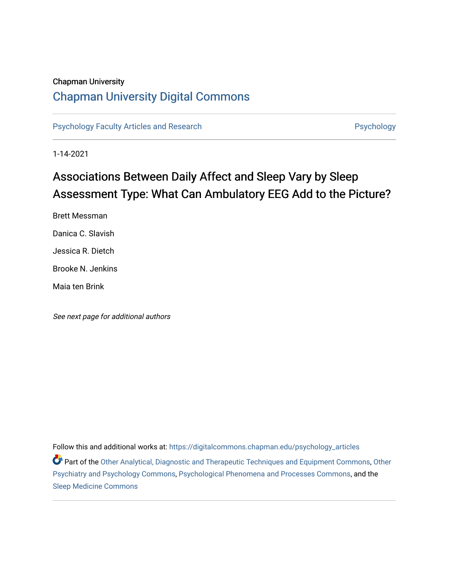#### Chapman University

## [Chapman University Digital Commons](https://digitalcommons.chapman.edu/)

[Psychology Faculty Articles and Research](https://digitalcommons.chapman.edu/psychology_articles) **Psychology** Psychology

1-14-2021

## Associations Between Daily Affect and Sleep Vary by Sleep Assessment Type: What Can Ambulatory EEG Add to the Picture?

Brett Messman Danica C. Slavish Jessica R. Dietch Brooke N. Jenkins Maia ten Brink

See next page for additional authors

Follow this and additional works at: [https://digitalcommons.chapman.edu/psychology\\_articles](https://digitalcommons.chapman.edu/psychology_articles?utm_source=digitalcommons.chapman.edu%2Fpsychology_articles%2F258&utm_medium=PDF&utm_campaign=PDFCoverPages)

Part of the [Other Analytical, Diagnostic and Therapeutic Techniques and Equipment Commons,](http://network.bepress.com/hgg/discipline/994?utm_source=digitalcommons.chapman.edu%2Fpsychology_articles%2F258&utm_medium=PDF&utm_campaign=PDFCoverPages) [Other](http://network.bepress.com/hgg/discipline/992?utm_source=digitalcommons.chapman.edu%2Fpsychology_articles%2F258&utm_medium=PDF&utm_campaign=PDFCoverPages)  [Psychiatry and Psychology Commons](http://network.bepress.com/hgg/discipline/992?utm_source=digitalcommons.chapman.edu%2Fpsychology_articles%2F258&utm_medium=PDF&utm_campaign=PDFCoverPages), [Psychological Phenomena and Processes Commons](http://network.bepress.com/hgg/discipline/914?utm_source=digitalcommons.chapman.edu%2Fpsychology_articles%2F258&utm_medium=PDF&utm_campaign=PDFCoverPages), and the [Sleep Medicine Commons](http://network.bepress.com/hgg/discipline/1383?utm_source=digitalcommons.chapman.edu%2Fpsychology_articles%2F258&utm_medium=PDF&utm_campaign=PDFCoverPages)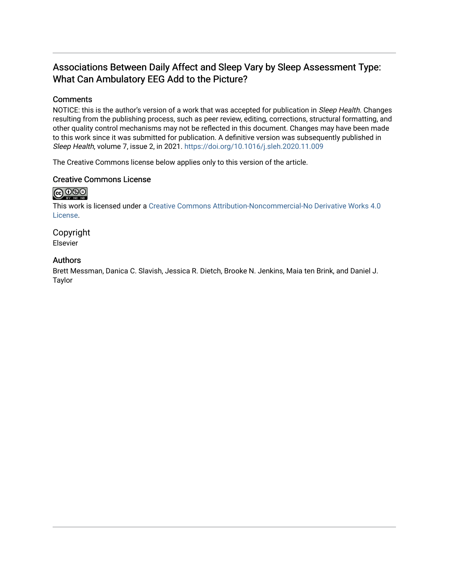### Associations Between Daily Affect and Sleep Vary by Sleep Assessment Type: What Can Ambulatory EEG Add to the Picture?

#### **Comments**

NOTICE: this is the author's version of a work that was accepted for publication in Sleep Health. Changes resulting from the publishing process, such as peer review, editing, corrections, structural formatting, and other quality control mechanisms may not be reflected in this document. Changes may have been made to this work since it was submitted for publication. A definitive version was subsequently published in Sleep Health, volume 7, issue 2, in 2021. <https://doi.org/10.1016/j.sleh.2020.11.009>

The Creative Commons license below applies only to this version of the article.

#### Creative Commons License

## $\bigcirc$   $\bigcirc$   $\bigcirc$

This work is licensed under a [Creative Commons Attribution-Noncommercial-No Derivative Works 4.0](https://creativecommons.org/licenses/by-nc-nd/4.0/) [License](https://creativecommons.org/licenses/by-nc-nd/4.0/).

Copyright Elsevier

#### Authors

Brett Messman, Danica C. Slavish, Jessica R. Dietch, Brooke N. Jenkins, Maia ten Brink, and Daniel J. Taylor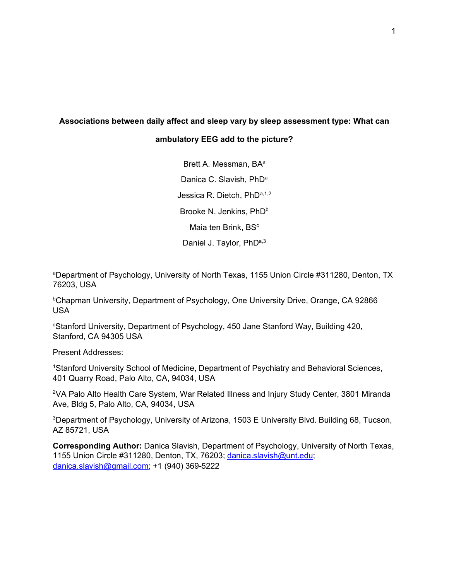# **Associations between daily affect and sleep vary by sleep assessment type: What can**

#### **ambulatory EEG add to the picture?**

Brett A. Messman, BA<sup>a</sup> Danica C. Slavish, PhD<sup>a</sup> Jessica R. Dietch, PhDa,1,2 Brooke N. Jenkins, PhD<sup>b</sup> Maia ten Brink, BS<sup>c</sup> Daniel J. Taylor, PhD<sup>a,3</sup>

aDepartment of Psychology, University of North Texas, 1155 Union Circle #311280, Denton, TX 76203, USA

bChapman University, Department of Psychology, One University Drive, Orange, CA 92866 USA

c Stanford University, Department of Psychology, 450 Jane Stanford Way, Building 420, Stanford, CA 94305 USA

Present Addresses:

1 Stanford University School of Medicine, Department of Psychiatry and Behavioral Sciences, 401 Quarry Road, Palo Alto, CA, 94034, USA

2VA Palo Alto Health Care System, War Related Illness and Injury Study Center, 3801 Miranda Ave, Bldg 5, Palo Alto, CA, 94034, USA

3Department of Psychology, University of Arizona, 1503 E University Blvd. Building 68, Tucson, AZ 85721, USA

**Corresponding Author:** Danica Slavish, Department of Psychology, University of North Texas, 1155 Union Circle #311280, Denton, TX, 76203; [danica.slavish@unt.edu;](mailto:danica.slavish@unt.edu) [danica.slavish@gmail.com;](mailto:danica.slavish@gmail.com) +1 (940) 369-5222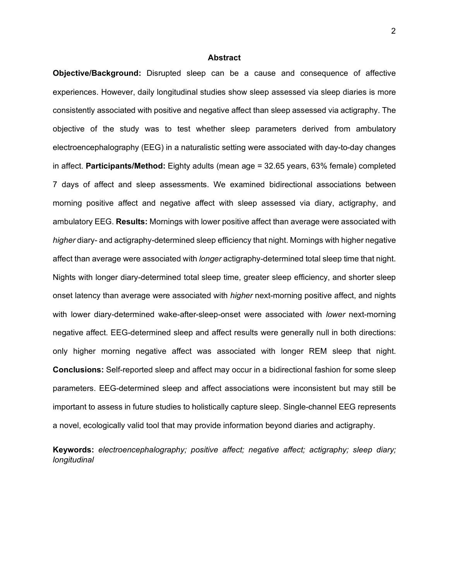#### **Abstract**

**Objective/Background:** Disrupted sleep can be a cause and consequence of affective experiences. However, daily longitudinal studies show sleep assessed via sleep diaries is more consistently associated with positive and negative affect than sleep assessed via actigraphy. The objective of the study was to test whether sleep parameters derived from ambulatory electroencephalography (EEG) in a naturalistic setting were associated with day-to-day changes in affect. **Participants/Method:** Eighty adults (mean age = 32.65 years, 63% female) completed 7 days of affect and sleep assessments. We examined bidirectional associations between morning positive affect and negative affect with sleep assessed via diary, actigraphy, and ambulatory EEG. **Results:** Mornings with lower positive affect than average were associated with *higher* diary- and actigraphy-determined sleep efficiency that night. Mornings with higher negative affect than average were associated with *longer* actigraphy-determined total sleep time that night. Nights with longer diary-determined total sleep time, greater sleep efficiency, and shorter sleep onset latency than average were associated with *higher* next-morning positive affect, and nights with lower diary-determined wake-after-sleep-onset were associated with *lower* next-morning negative affect. EEG-determined sleep and affect results were generally null in both directions: only higher morning negative affect was associated with longer REM sleep that night. **Conclusions:** Self-reported sleep and affect may occur in a bidirectional fashion for some sleep parameters. EEG-determined sleep and affect associations were inconsistent but may still be important to assess in future studies to holistically capture sleep. Single-channel EEG represents a novel, ecologically valid tool that may provide information beyond diaries and actigraphy.

**Keywords:** *electroencephalography; positive affect; negative affect; actigraphy; sleep diary; longitudinal*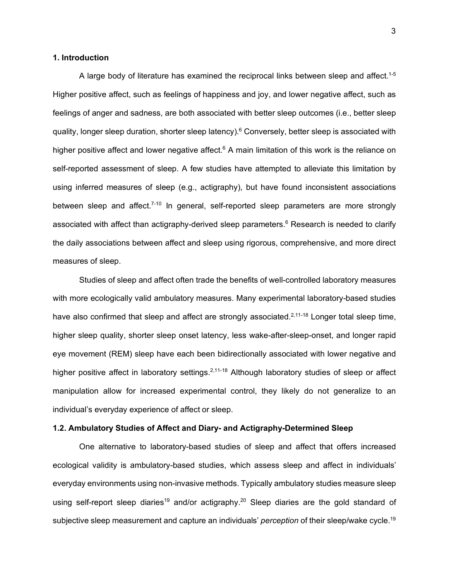#### **1. Introduction**

A large body of literature has examined the reciprocal links between sleep and affect. $^{\rm 1-5}$ Higher positive affect, such as feelings of happiness and joy, and lower negative affect, such as feelings of anger and sadness, are both associated with better sleep outcomes (i.e., better sleep quality, longer sleep duration, shorter sleep latency).<sup>6</sup> Conversely, better sleep is associated with higher positive affect and lower negative affect.<sup>6</sup> A main limitation of this work is the reliance on self-reported assessment of sleep. A few studies have attempted to alleviate this limitation by using inferred measures of sleep (e.g., actigraphy), but have found inconsistent associations between sleep and affect.<sup>7-10</sup> In general, self-reported sleep parameters are more strongly associated with affect than actigraphy-derived sleep parameters. <sup>6</sup> Research is needed to clarify the daily associations between affect and sleep using rigorous, comprehensive, and more direct measures of sleep.

Studies of sleep and affect often trade the benefits of well-controlled laboratory measures with more ecologically valid ambulatory measures. Many experimental laboratory-based studies have also confirmed that sleep and affect are strongly associated.<sup>2,11-18</sup> Longer total sleep time, higher sleep quality, shorter sleep onset latency, less wake-after-sleep-onset, and longer rapid eye movement (REM) sleep have each been bidirectionally associated with lower negative and higher positive affect in laboratory settings.<sup>2,11-18</sup> Although laboratory studies of sleep or affect manipulation allow for increased experimental control, they likely do not generalize to an individual's everyday experience of affect or sleep.

#### **1.2. Ambulatory Studies of Affect and Diary- and Actigraphy-Determined Sleep**

One alternative to laboratory-based studies of sleep and affect that offers increased ecological validity is ambulatory-based studies, which assess sleep and affect in individuals' everyday environments using non-invasive methods. Typically ambulatory studies measure sleep using self-report sleep diaries<sup>19</sup> and/or actigraphy.<sup>20</sup> Sleep diaries are the gold standard of subjective sleep measurement and capture an individuals' *perception* of their sleep/wake cycle. 19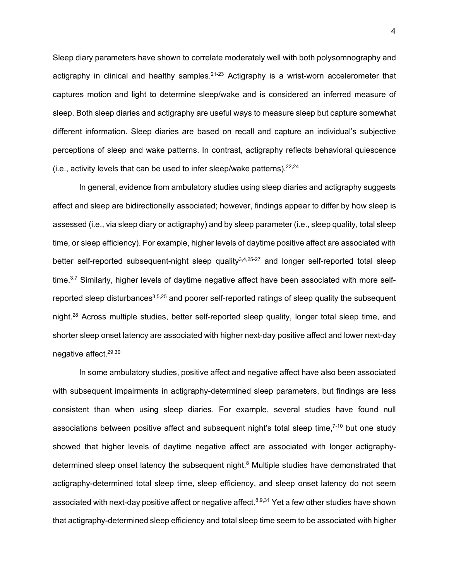Sleep diary parameters have shown to correlate moderately well with both polysomnography and actigraphy in clinical and healthy samples.<sup>21-23</sup> Actigraphy is a wrist-worn accelerometer that captures motion and light to determine sleep/wake and is considered an inferred measure of sleep. Both sleep diaries and actigraphy are useful ways to measure sleep but capture somewhat different information. Sleep diaries are based on recall and capture an individual's subjective perceptions of sleep and wake patterns. In contrast, actigraphy reflects behavioral quiescence (i.e., activity levels that can be used to infer sleep/wake patterns). $22,24$ 

In general, evidence from ambulatory studies using sleep diaries and actigraphy suggests affect and sleep are bidirectionally associated; however, findings appear to differ by how sleep is assessed (i.e., via sleep diary or actigraphy) and by sleep parameter (i.e., sleep quality, total sleep time, or sleep efficiency). For example, higher levels of daytime positive affect are associated with better self-reported subsequent-night sleep quality<sup>3,4,25-27</sup> and longer self-reported total sleep time. 3,7 Similarly, higher levels of daytime negative affect have been associated with more selfreported sleep disturbances $3,5,25$  and poorer self-reported ratings of sleep quality the subsequent night. <sup>28</sup> Across multiple studies, better self-reported sleep quality, longer total sleep time, and shorter sleep onset latency are associated with higher next-day positive affect and lower next-day negative affect. 29,30

In some ambulatory studies, positive affect and negative affect have also been associated with subsequent impairments in actigraphy-determined sleep parameters, but findings are less consistent than when using sleep diaries. For example, several studies have found null associations between positive affect and subsequent night's total sleep time,<sup>7-10</sup> but one study showed that higher levels of daytime negative affect are associated with longer actigraphydetermined sleep onset latency the subsequent night.<sup>8</sup> Multiple studies have demonstrated that actigraphy-determined total sleep time, sleep efficiency, and sleep onset latency do not seem associated with next-day positive affect or negative affect.<sup>8,9,31</sup> Yet a few other studies have shown that actigraphy-determined sleep efficiency and total sleep time seem to be associated with higher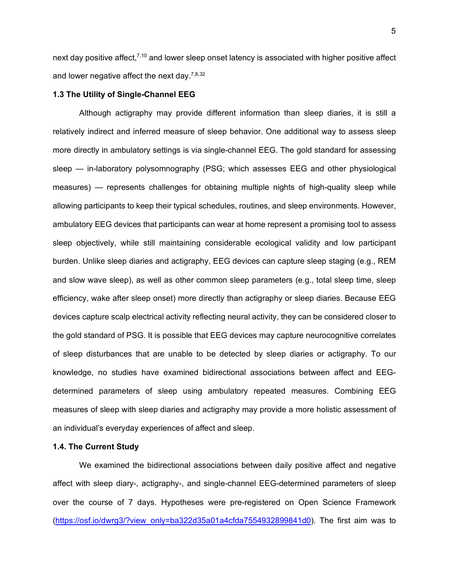next day positive affect,<sup>7,10</sup> and lower sleep onset latency is associated with higher positive affect and lower negative affect the next day. $^{7,8,32}$ 

#### **1.3 The Utility of Single-Channel EEG**

Although actigraphy may provide different information than sleep diaries, it is still a relatively indirect and inferred measure of sleep behavior. One additional way to assess sleep more directly in ambulatory settings is via single-channel EEG. The gold standard for assessing sleep — in-laboratory polysomnography (PSG; which assesses EEG and other physiological measures) — represents challenges for obtaining multiple nights of high-quality sleep while allowing participants to keep their typical schedules, routines, and sleep environments. However, ambulatory EEG devices that participants can wear at home represent a promising tool to assess sleep objectively, while still maintaining considerable ecological validity and low participant burden. Unlike sleep diaries and actigraphy, EEG devices can capture sleep staging (e.g., REM and slow wave sleep), as well as other common sleep parameters (e.g., total sleep time, sleep efficiency, wake after sleep onset) more directly than actigraphy or sleep diaries. Because EEG devices capture scalp electrical activity reflecting neural activity, they can be considered closer to the gold standard of PSG. It is possible that EEG devices may capture neurocognitive correlates of sleep disturbances that are unable to be detected by sleep diaries or actigraphy. To our knowledge, no studies have examined bidirectional associations between affect and EEGdetermined parameters of sleep using ambulatory repeated measures. Combining EEG measures of sleep with sleep diaries and actigraphy may provide a more holistic assessment of an individual's everyday experiences of affect and sleep.

#### **1.4. The Current Study**

We examined the bidirectional associations between daily positive affect and negative affect with sleep diary-, actigraphy-, and single-channel EEG-determined parameters of sleep over the course of 7 days. Hypotheses were pre-registered on Open Science Framework [\(https://osf.io/dwrg3/?view\\_only=ba322d35a01a4cfda7554932899841d0\)](https://osf.io/dwrg3/?view_only=ba322d35a01a4cfda7554932899841d0). The first aim was to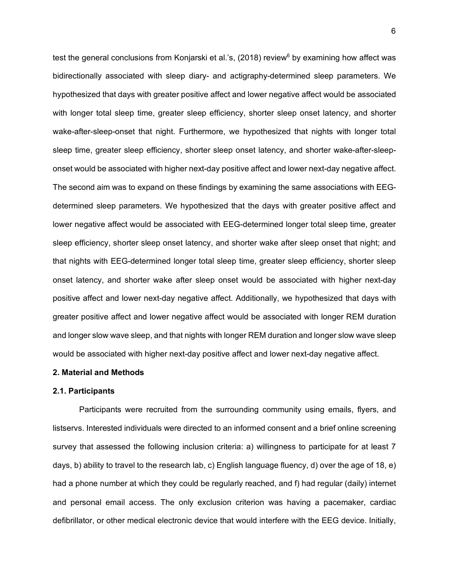test the general conclusions from Konjarski et al.'s, (2018) review<sup>6</sup> by examining how affect was bidirectionally associated with sleep diary- and actigraphy-determined sleep parameters. We hypothesized that days with greater positive affect and lower negative affect would be associated with longer total sleep time, greater sleep efficiency, shorter sleep onset latency, and shorter wake-after-sleep-onset that night. Furthermore, we hypothesized that nights with longer total sleep time, greater sleep efficiency, shorter sleep onset latency, and shorter wake-after-sleeponset would be associated with higher next-day positive affect and lower next-day negative affect. The second aim was to expand on these findings by examining the same associations with EEGdetermined sleep parameters. We hypothesized that the days with greater positive affect and lower negative affect would be associated with EEG-determined longer total sleep time, greater sleep efficiency, shorter sleep onset latency, and shorter wake after sleep onset that night; and that nights with EEG-determined longer total sleep time, greater sleep efficiency, shorter sleep onset latency, and shorter wake after sleep onset would be associated with higher next-day positive affect and lower next-day negative affect. Additionally, we hypothesized that days with greater positive affect and lower negative affect would be associated with longer REM duration and longer slow wave sleep, and that nights with longer REM duration and longer slow wave sleep would be associated with higher next-day positive affect and lower next-day negative affect.

#### **2. Material and Methods**

#### **2.1. Participants**

Participants were recruited from the surrounding community using emails, flyers, and listservs. Interested individuals were directed to an informed consent and a brief online screening survey that assessed the following inclusion criteria: a) willingness to participate for at least 7 days, b) ability to travel to the research lab, c) English language fluency, d) over the age of 18, e) had a phone number at which they could be regularly reached, and f) had regular (daily) internet and personal email access. The only exclusion criterion was having a pacemaker, cardiac defibrillator, or other medical electronic device that would interfere with the EEG device. Initially,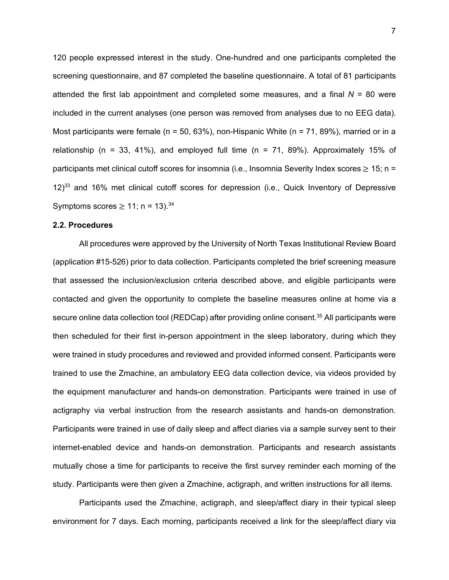120 people expressed interest in the study. One-hundred and one participants completed the screening questionnaire, and 87 completed the baseline questionnaire. A total of 81 participants attended the first lab appointment and completed some measures, and a final  $N = 80$  were included in the current analyses (one person was removed from analyses due to no EEG data). Most participants were female (n = 50, 63%), non-Hispanic White (n = 71, 89%), married or in a relationship (n = 33, 41%), and employed full time (n = 71, 89%). Approximately 15% of participants met clinical cutoff scores for insomnia (i.e., Insomnia Severity Index scores  $\geq 15$ ; n = 12) <sup>33</sup> and 16% met clinical cutoff scores for depression (i.e., Quick Inventory of Depressive Symptoms scores  $\geq 11$ ; n = 13).<sup>34</sup>

#### **2.2. Procedures**

All procedures were approved by the University of North Texas Institutional Review Board (application #15-526) prior to data collection. Participants completed the brief screening measure that assessed the inclusion/exclusion criteria described above, and eligible participants were contacted and given the opportunity to complete the baseline measures online at home via a secure online data collection tool (REDCap) after providing online consent.<sup>35</sup> All participants were then scheduled for their first in-person appointment in the sleep laboratory, during which they were trained in study procedures and reviewed and provided informed consent. Participants were trained to use the Zmachine, an ambulatory EEG data collection device, via videos provided by the equipment manufacturer and hands-on demonstration. Participants were trained in use of actigraphy via verbal instruction from the research assistants and hands-on demonstration. Participants were trained in use of daily sleep and affect diaries via a sample survey sent to their internet-enabled device and hands-on demonstration. Participants and research assistants mutually chose a time for participants to receive the first survey reminder each morning of the study. Participants were then given a Zmachine, actigraph, and written instructions for all items.

Participants used the Zmachine, actigraph, and sleep/affect diary in their typical sleep environment for 7 days. Each morning, participants received a link for the sleep/affect diary via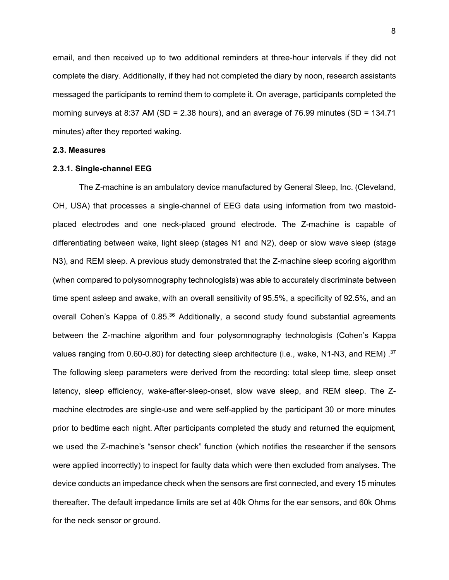email, and then received up to two additional reminders at three-hour intervals if they did not complete the diary. Additionally, if they had not completed the diary by noon, research assistants messaged the participants to remind them to complete it. On average, participants completed the morning surveys at 8:37 AM (SD = 2.38 hours), and an average of 76.99 minutes (SD = 134.71 minutes) after they reported waking.

#### **2.3. Measures**

#### **2.3.1. Single-channel EEG**

The Z-machine is an ambulatory device manufactured by General Sleep, Inc. (Cleveland, OH, USA) that processes a single-channel of EEG data using information from two mastoidplaced electrodes and one neck-placed ground electrode. The Z-machine is capable of differentiating between wake, light sleep (stages N1 and N2), deep or slow wave sleep (stage N3), and REM sleep. A previous study demonstrated that the Z-machine sleep scoring algorithm (when compared to polysomnography technologists) was able to accurately discriminate between time spent asleep and awake, with an overall sensitivity of 95.5%, a specificity of 92.5%, and an overall Cohen's Kappa of 0.85.<sup>36</sup> Additionally, a second study found substantial agreements between the Z-machine algorithm and four polysomnography technologists (Cohen's Kappa values ranging from 0.60-0.80) for detecting sleep architecture (i.e., wake, N1-N3, and REM) . $^{37}$ The following sleep parameters were derived from the recording: total sleep time, sleep onset latency, sleep efficiency, wake-after-sleep-onset, slow wave sleep, and REM sleep. The Zmachine electrodes are single-use and were self-applied by the participant 30 or more minutes prior to bedtime each night. After participants completed the study and returned the equipment, we used the Z-machine's "sensor check" function (which notifies the researcher if the sensors were applied incorrectly) to inspect for faulty data which were then excluded from analyses. The device conducts an impedance check when the sensors are first connected, and every 15 minutes thereafter. The default impedance limits are set at 40k Ohms for the ear sensors, and 60k Ohms for the neck sensor or ground.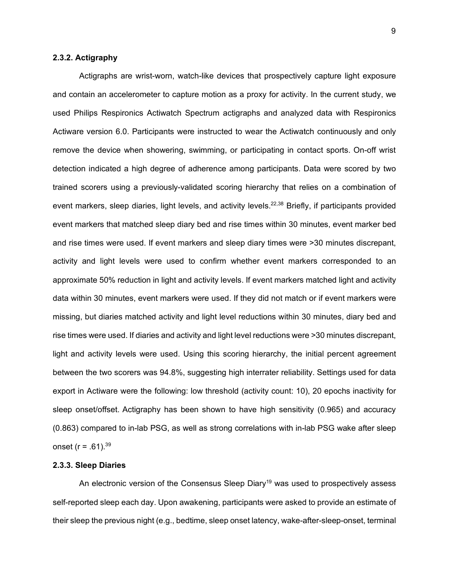#### **2.3.2. Actigraphy**

Actigraphs are wrist-worn, watch-like devices that prospectively capture light exposure and contain an accelerometer to capture motion as a proxy for activity. In the current study, we used Philips Respironics Actiwatch Spectrum actigraphs and analyzed data with Respironics Actiware version 6.0. Participants were instructed to wear the Actiwatch continuously and only remove the device when showering, swimming, or participating in contact sports. On-off wrist detection indicated a high degree of adherence among participants. Data were scored by two trained scorers using a previously-validated scoring hierarchy that relies on a combination of event markers, sleep diaries, light levels, and activity levels.<sup>22,38</sup> Briefly, if participants provided event markers that matched sleep diary bed and rise times within 30 minutes, event marker bed and rise times were used. If event markers and sleep diary times were >30 minutes discrepant, activity and light levels were used to confirm whether event markers corresponded to an approximate 50% reduction in light and activity levels. If event markers matched light and activity data within 30 minutes, event markers were used. If they did not match or if event markers were missing, but diaries matched activity and light level reductions within 30 minutes, diary bed and rise times were used. If diaries and activity and light level reductions were >30 minutes discrepant, light and activity levels were used. Using this scoring hierarchy, the initial percent agreement between the two scorers was 94.8%, suggesting high interrater reliability. Settings used for data export in Actiware were the following: low threshold (activity count: 10), 20 epochs inactivity for sleep onset/offset. Actigraphy has been shown to have high sensitivity (0.965) and accuracy (0.863) compared to in-lab PSG, as well as strong correlations with in-lab PSG wake after sleep onset ( $r = .61$ ).<sup>39</sup>

#### **2.3.3. Sleep Diaries**

An electronic version of the Consensus Sleep Diary<sup>19</sup> was used to prospectively assess self-reported sleep each day. Upon awakening, participants were asked to provide an estimate of their sleep the previous night (e.g., bedtime, sleep onset latency, wake-after-sleep-onset, terminal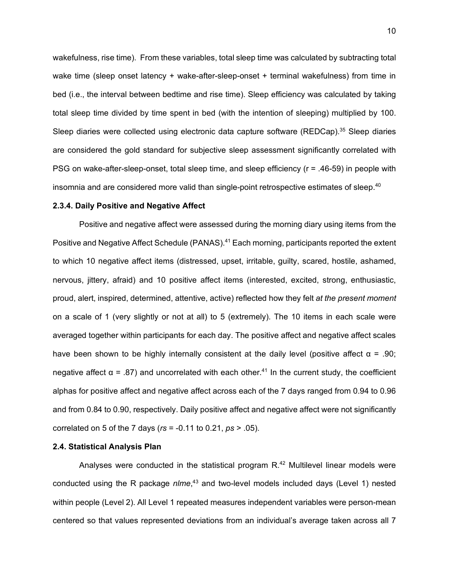wakefulness, rise time). From these variables, total sleep time was calculated by subtracting total wake time (sleep onset latency + wake-after-sleep-onset + terminal wakefulness) from time in bed (i.e., the interval between bedtime and rise time). Sleep efficiency was calculated by taking total sleep time divided by time spent in bed (with the intention of sleeping) multiplied by 100. Sleep diaries were collected using electronic data capture software (REDCap).<sup>35</sup> Sleep diaries are considered the gold standard for subjective sleep assessment significantly correlated with PSG on wake-after-sleep-onset, total sleep time, and sleep efficiency (r = .46-59) in people with insomnia and are considered more valid than single-point retrospective estimates of sleep. $^{40}$ 

#### **2.3.4. Daily Positive and Negative Affect**

Positive and negative affect were assessed during the morning diary using items from the Positive and Negative Affect Schedule (PANAS). <sup>41</sup> Each morning, participants reported the extent to which 10 negative affect items (distressed, upset, irritable, guilty, scared, hostile, ashamed, nervous, jittery, afraid) and 10 positive affect items (interested, excited, strong, enthusiastic, proud, alert, inspired, determined, attentive, active) reflected how they felt *at the present moment* on a scale of 1 (very slightly or not at all) to 5 (extremely). The 10 items in each scale were averaged together within participants for each day. The positive affect and negative affect scales have been shown to be highly internally consistent at the daily level (positive affect  $\alpha = .90$ ; negative affect α = .87) and uncorrelated with each other.<sup>41</sup> In the current study, the coefficient alphas for positive affect and negative affect across each of the 7 days ranged from 0.94 to 0.96 and from 0.84 to 0.90, respectively. Daily positive affect and negative affect were not significantly correlated on 5 of the 7 days (*rs* = -0.11 to 0.21, *ps* > .05).

#### **2.4. Statistical Analysis Plan**

Analyses were conducted in the statistical program  $R^{42}$  Multilevel linear models were conducted using the R package *nlme*, <sup>43</sup> and two-level models included days (Level 1) nested within people (Level 2). All Level 1 repeated measures independent variables were person-mean centered so that values represented deviations from an individual's average taken across all 7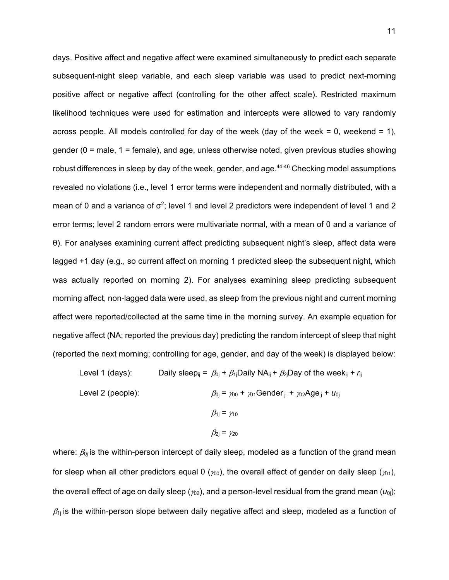days. Positive affect and negative affect were examined simultaneously to predict each separate subsequent-night sleep variable, and each sleep variable was used to predict next-morning positive affect or negative affect (controlling for the other affect scale). Restricted maximum likelihood techniques were used for estimation and intercepts were allowed to vary randomly across people. All models controlled for day of the week (day of the week  $= 0$ , weekend  $= 1$ ), gender (0 = male, 1 = female), and age, unless otherwise noted, given previous studies showing robust differences in sleep by day of the week, gender, and age.<sup>44-46</sup> Checking model assumptions revealed no violations (i.e., level 1 error terms were independent and normally distributed, with a mean of 0 and a variance of  $\sigma^2$ ; level 1 and level 2 predictors were independent of level 1 and 2 error terms; level 2 random errors were multivariate normal, with a mean of 0 and a variance of θ). For analyses examining current affect predicting subsequent night's sleep, affect data were lagged +1 day (e.g., so current affect on morning 1 predicted sleep the subsequent night, which was actually reported on morning 2). For analyses examining sleep predicting subsequent morning affect, non-lagged data were used, as sleep from the previous night and current morning affect were reported/collected at the same time in the morning survey. An example equation for negative affect (NA; reported the previous day) predicting the random intercept of sleep that night (reported the next morning; controlling for age, gender, and day of the week) is displayed below:

Level 1 (days): Daily sleep<sub>ij</sub> =  $\beta_{0j} + \beta_{1j}$ Daily NA<sub>ij</sub> +  $\beta_{2j}$ Day of the week<sub>ij</sub> +  $r_{ij}$ Level 2 (people):  $\beta_{0j} = \gamma_{00} + \gamma_{01}$ Gender  $j + \gamma_{02}$ Age  $j + u_{0j}$  $β_{1j} = γ_{10}$  $β_{2i} = γ_{20}$ 

where:  $\beta_{0i}$  is the within-person intercept of daily sleep, modeled as a function of the grand mean for sleep when all other predictors equal 0 ( $\gamma_{00}$ ), the overall effect of gender on daily sleep ( $\gamma_{01}$ ), the overall effect of age on daily sleep ( $\gamma_{02}$ ), and a person-level residual from the grand mean ( $u_{0i}$ );  $\beta_{1i}$  is the within-person slope between daily negative affect and sleep, modeled as a function of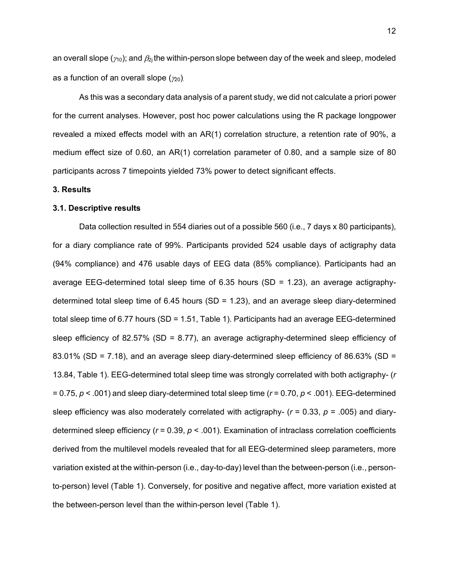an overall slope ( $\gamma_0$ ); and  $\beta_{2i}$  the within-person slope between day of the week and sleep, modeled as a function of an overall slope  $(\gamma_{20})$ .

As this was a secondary data analysis of a parent study, we did not calculate a priori power for the current analyses. However, post hoc power calculations using the R package longpower revealed a mixed effects model with an AR(1) correlation structure, a retention rate of 90%, a medium effect size of 0.60, an AR(1) correlation parameter of 0.80, and a sample size of 80 participants across 7 timepoints yielded 73% power to detect significant effects.

#### **3. Results**

#### **3.1. Descriptive results**

Data collection resulted in 554 diaries out of a possible 560 (i.e., 7 days x 80 participants), for a diary compliance rate of 99%. Participants provided 524 usable days of actigraphy data (94% compliance) and 476 usable days of EEG data (85% compliance). Participants had an average EEG-determined total sleep time of  $6.35$  hours (SD = 1.23), an average actigraphydetermined total sleep time of 6.45 hours (SD = 1.23), and an average sleep diary-determined total sleep time of 6.77 hours (SD = 1.51, Table 1). Participants had an average EEG-determined sleep efficiency of 82.57% (SD = 8.77), an average actigraphy-determined sleep efficiency of 83.01% (SD = 7.18), and an average sleep diary-determined sleep efficiency of 86.63% (SD = 13.84, Table 1). EEG-determined total sleep time was strongly correlated with both actigraphy- (*r* = 0.75, *p* < .001) and sleep diary-determined total sleep time (*r* = 0.70, *p* < .001). EEG-determined sleep efficiency was also moderately correlated with actigraphy- (*r* = 0.33, *p* = .005) and diarydetermined sleep efficiency (*r* = 0.39, *p* < .001). Examination of intraclass correlation coefficients derived from the multilevel models revealed that for all EEG-determined sleep parameters, more variation existed at the within-person (i.e., day-to-day) level than the between-person (i.e., personto-person) level (Table 1). Conversely, for positive and negative affect, more variation existed at the between-person level than the within-person level (Table 1).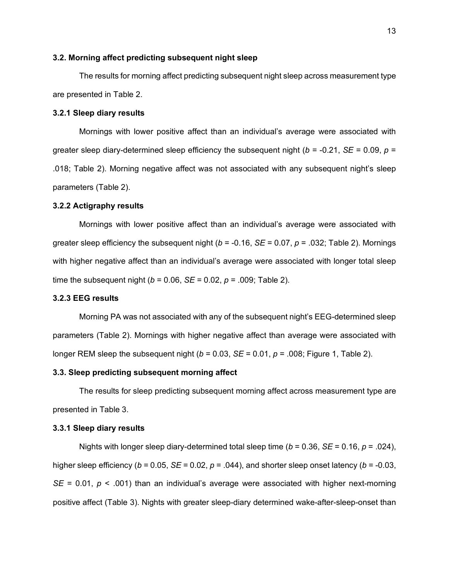#### **3.2. Morning affect predicting subsequent night sleep**

The results for morning affect predicting subsequent night sleep across measurement type are presented in Table 2.

#### **3.2.1 Sleep diary results**

Mornings with lower positive affect than an individual's average were associated with greater sleep diary-determined sleep efficiency the subsequent night ( $b = -0.21$ ,  $SE = 0.09$ ,  $p =$ .018; Table 2). Morning negative affect was not associated with any subsequent night's sleep parameters (Table 2).

#### **3.2.2 Actigraphy results**

Mornings with lower positive affect than an individual's average were associated with greater sleep efficiency the subsequent night (*b* = -0.16, *SE* = 0.07, *p* = .032; Table 2). Mornings with higher negative affect than an individual's average were associated with longer total sleep time the subsequent night ( $b = 0.06$ ,  $SE = 0.02$ ,  $p = .009$ ; Table 2).

#### **3.2.3 EEG results**

Morning PA was not associated with any of the subsequent night's EEG-determined sleep parameters (Table 2). Mornings with higher negative affect than average were associated with longer REM sleep the subsequent night ( $b = 0.03$ ,  $SE = 0.01$ ,  $p = .008$ ; Figure 1, Table 2).

#### **3.3. Sleep predicting subsequent morning affect**

The results for sleep predicting subsequent morning affect across measurement type are presented in Table 3.

#### **3.3.1 Sleep diary results**

Nights with longer sleep diary-determined total sleep time (*b* = 0.36, *SE* = 0.16, *p* = .024), higher sleep efficiency ( $b = 0.05$ ,  $SE = 0.02$ ,  $p = .044$ ), and shorter sleep onset latency ( $b = -0.03$ , *SE* = 0.01,  $p$  < .001) than an individual's average were associated with higher next-morning positive affect (Table 3). Nights with greater sleep-diary determined wake-after-sleep-onset than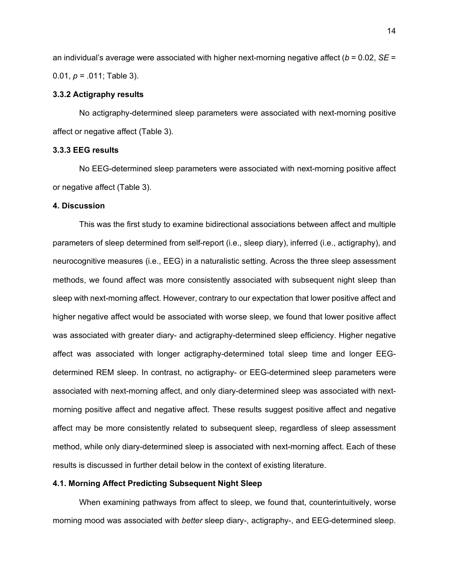an individual's average were associated with higher next-morning negative affect (*b* = 0.02, *SE* = 0.01, *p* = .011; Table 3).

#### **3.3.2 Actigraphy results**

No actigraphy-determined sleep parameters were associated with next-morning positive affect or negative affect (Table 3).

#### **3.3.3 EEG results**

No EEG-determined sleep parameters were associated with next-morning positive affect or negative affect (Table 3).

#### **4. Discussion**

This was the first study to examine bidirectional associations between affect and multiple parameters of sleep determined from self-report (i.e., sleep diary), inferred (i.e., actigraphy), and neurocognitive measures (i.e., EEG) in a naturalistic setting. Across the three sleep assessment methods, we found affect was more consistently associated with subsequent night sleep than sleep with next-morning affect. However, contrary to our expectation that lower positive affect and higher negative affect would be associated with worse sleep, we found that lower positive affect was associated with greater diary- and actigraphy-determined sleep efficiency. Higher negative affect was associated with longer actigraphy-determined total sleep time and longer EEGdetermined REM sleep. In contrast, no actigraphy- or EEG-determined sleep parameters were associated with next-morning affect, and only diary-determined sleep was associated with nextmorning positive affect and negative affect. These results suggest positive affect and negative affect may be more consistently related to subsequent sleep, regardless of sleep assessment method, while only diary-determined sleep is associated with next-morning affect. Each of these results is discussed in further detail below in the context of existing literature.

#### **4.1. Morning Affect Predicting Subsequent Night Sleep**

When examining pathways from affect to sleep, we found that, counterintuitively, worse morning mood was associated with *better* sleep diary-, actigraphy-, and EEG-determined sleep.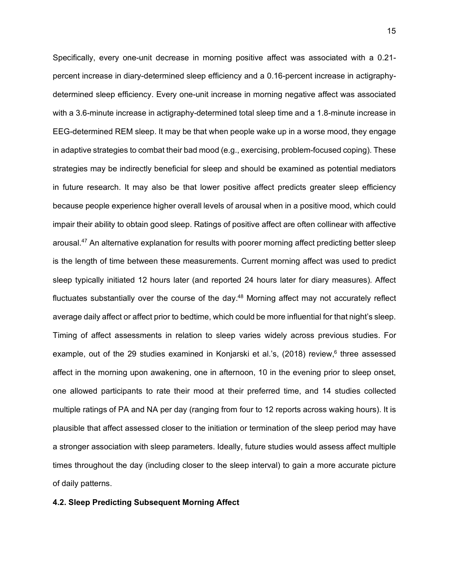Specifically, every one-unit decrease in morning positive affect was associated with a 0.21 percent increase in diary-determined sleep efficiency and a 0.16-percent increase in actigraphydetermined sleep efficiency. Every one-unit increase in morning negative affect was associated with a 3.6-minute increase in actigraphy-determined total sleep time and a 1.8-minute increase in EEG-determined REM sleep. It may be that when people wake up in a worse mood, they engage in adaptive strategies to combat their bad mood (e.g., exercising, problem-focused coping). These strategies may be indirectly beneficial for sleep and should be examined as potential mediators in future research. It may also be that lower positive affect predicts greater sleep efficiency because people experience higher overall levels of arousal when in a positive mood, which could impair their ability to obtain good sleep. Ratings of positive affect are often collinear with affective arousal. <sup>47</sup> An alternative explanation for results with poorer morning affect predicting better sleep is the length of time between these measurements. Current morning affect was used to predict sleep typically initiated 12 hours later (and reported 24 hours later for diary measures). Affect fluctuates substantially over the course of the day.<sup>48</sup> Morning affect may not accurately reflect average daily affect or affect prior to bedtime, which could be more influential for that night's sleep. Timing of affect assessments in relation to sleep varies widely across previous studies. For example, out of the 29 studies examined in Konjarski et al.'s, (2018) review,<sup>6</sup> three assessed affect in the morning upon awakening, one in afternoon, 10 in the evening prior to sleep onset, one allowed participants to rate their mood at their preferred time, and 14 studies collected multiple ratings of PA and NA per day (ranging from four to 12 reports across waking hours). It is plausible that affect assessed closer to the initiation or termination of the sleep period may have a stronger association with sleep parameters. Ideally, future studies would assess affect multiple times throughout the day (including closer to the sleep interval) to gain a more accurate picture of daily patterns.

#### **4.2. Sleep Predicting Subsequent Morning Affect**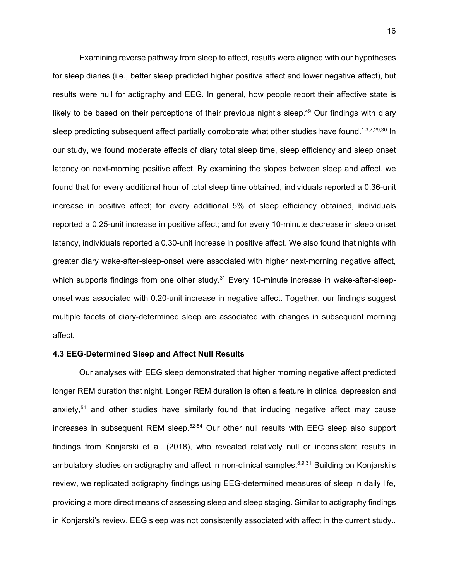Examining reverse pathway from sleep to affect, results were aligned with our hypotheses for sleep diaries (i.e., better sleep predicted higher positive affect and lower negative affect), but results were null for actigraphy and EEG. In general, how people report their affective state is likely to be based on their perceptions of their previous night's sleep.<sup>49</sup> Our findings with diary sleep predicting subsequent affect partially corroborate what other studies have found.<sup>1,3,7,29,30</sup> In our study, we found moderate effects of diary total sleep time, sleep efficiency and sleep onset latency on next-morning positive affect. By examining the slopes between sleep and affect, we found that for every additional hour of total sleep time obtained, individuals reported a 0.36-unit increase in positive affect; for every additional 5% of sleep efficiency obtained, individuals reported a 0.25-unit increase in positive affect; and for every 10-minute decrease in sleep onset latency, individuals reported a 0.30-unit increase in positive affect. We also found that nights with greater diary wake-after-sleep-onset were associated with higher next-morning negative affect, which supports findings from one other study.<sup>31</sup> Every 10-minute increase in wake-after-sleeponset was associated with 0.20-unit increase in negative affect. Together, our findings suggest multiple facets of diary-determined sleep are associated with changes in subsequent morning affect.

#### **4.3 EEG-Determined Sleep and Affect Null Results**

Our analyses with EEG sleep demonstrated that higher morning negative affect predicted longer REM duration that night. Longer REM duration is often a feature in clinical depression and anxiety, <sup>51</sup> and other studies have similarly found that inducing negative affect may cause increases in subsequent REM sleep.<sup>52-54</sup> Our other null results with EEG sleep also support findings from Konjarski et al. (2018), who revealed relatively null or inconsistent results in ambulatory studies on actigraphy and affect in non-clinical samples.<sup>8,9,31</sup> Building on Konjarski's review, we replicated actigraphy findings using EEG-determined measures of sleep in daily life, providing a more direct means of assessing sleep and sleep staging. Similar to actigraphy findings in Konjarski's review, EEG sleep was not consistently associated with affect in the current study..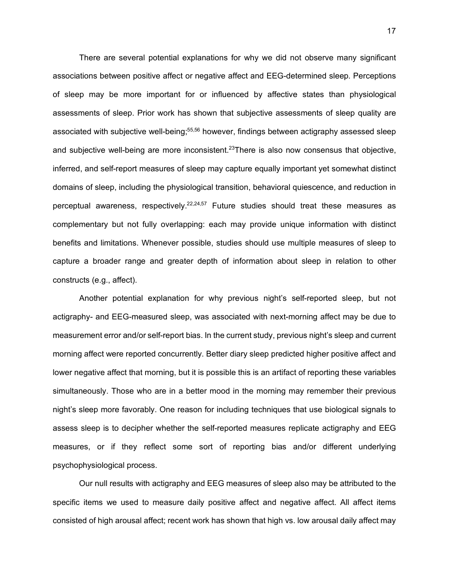There are several potential explanations for why we did not observe many significant associations between positive affect or negative affect and EEG-determined sleep. Perceptions of sleep may be more important for or influenced by affective states than physiological assessments of sleep. Prior work has shown that subjective assessments of sleep quality are associated with subjective well-being;<sup>55,56</sup> however, findings between actigraphy assessed sleep and subjective well-being are more inconsistent.<sup>23</sup>There is also now consensus that objective, inferred, and self-report measures of sleep may capture equally important yet somewhat distinct domains of sleep, including the physiological transition, behavioral quiescence, and reduction in perceptual awareness, respectively.<sup>22,24,57</sup> Future studies should treat these measures as complementary but not fully overlapping: each may provide unique information with distinct benefits and limitations. Whenever possible, studies should use multiple measures of sleep to capture a broader range and greater depth of information about sleep in relation to other constructs (e.g., affect).

Another potential explanation for why previous night's self-reported sleep, but not actigraphy- and EEG-measured sleep, was associated with next-morning affect may be due to measurement error and/or self-report bias. In the current study, previous night's sleep and current morning affect were reported concurrently. Better diary sleep predicted higher positive affect and lower negative affect that morning, but it is possible this is an artifact of reporting these variables simultaneously. Those who are in a better mood in the morning may remember their previous night's sleep more favorably. One reason for including techniques that use biological signals to assess sleep is to decipher whether the self-reported measures replicate actigraphy and EEG measures, or if they reflect some sort of reporting bias and/or different underlying psychophysiological process.

Our null results with actigraphy and EEG measures of sleep also may be attributed to the specific items we used to measure daily positive affect and negative affect. All affect items consisted of high arousal affect; recent work has shown that high vs. low arousal daily affect may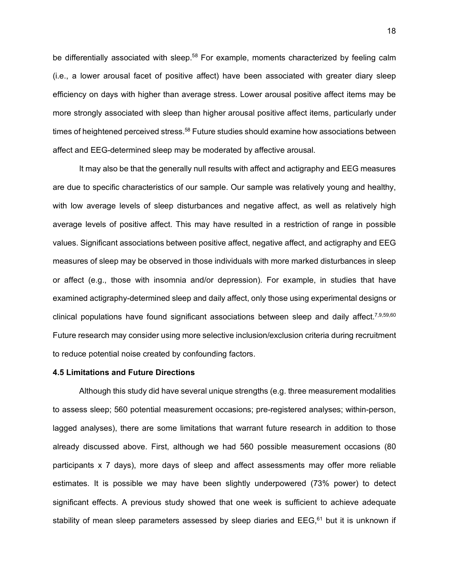be differentially associated with sleep.<sup>58</sup> For example, moments characterized by feeling calm (i.e., a lower arousal facet of positive affect) have been associated with greater diary sleep efficiency on days with higher than average stress. Lower arousal positive affect items may be more strongly associated with sleep than higher arousal positive affect items, particularly under times of heightened perceived stress.<sup>58</sup> Future studies should examine how associations between affect and EEG-determined sleep may be moderated by affective arousal.

It may also be that the generally null results with affect and actigraphy and EEG measures are due to specific characteristics of our sample. Our sample was relatively young and healthy, with low average levels of sleep disturbances and negative affect, as well as relatively high average levels of positive affect. This may have resulted in a restriction of range in possible values. Significant associations between positive affect, negative affect, and actigraphy and EEG measures of sleep may be observed in those individuals with more marked disturbances in sleep or affect (e.g., those with insomnia and/or depression). For example, in studies that have examined actigraphy-determined sleep and daily affect, only those using experimental designs or clinical populations have found significant associations between sleep and daily affect.<sup>7,9,59,60</sup> Future research may consider using more selective inclusion/exclusion criteria during recruitment to reduce potential noise created by confounding factors.

#### **4.5 Limitations and Future Directions**

Although this study did have several unique strengths (e.g. three measurement modalities to assess sleep; 560 potential measurement occasions; pre-registered analyses; within-person, lagged analyses), there are some limitations that warrant future research in addition to those already discussed above. First, although we had 560 possible measurement occasions (80 participants x 7 days), more days of sleep and affect assessments may offer more reliable estimates. It is possible we may have been slightly underpowered (73% power) to detect significant effects. A previous study showed that one week is sufficient to achieve adequate stability of mean sleep parameters assessed by sleep diaries and EEG, <sup>61</sup> but it is unknown if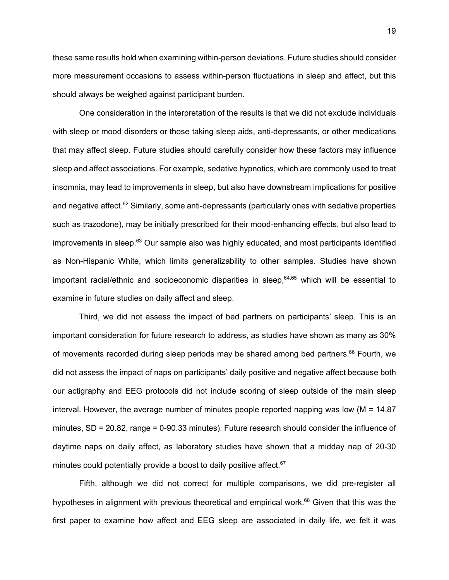these same results hold when examining within-person deviations. Future studies should consider more measurement occasions to assess within-person fluctuations in sleep and affect, but this should always be weighed against participant burden.

One consideration in the interpretation of the results is that we did not exclude individuals with sleep or mood disorders or those taking sleep aids, anti-depressants, or other medications that may affect sleep. Future studies should carefully consider how these factors may influence sleep and affect associations. For example, sedative hypnotics, which are commonly used to treat insomnia, may lead to improvements in sleep, but also have downstream implications for positive and negative affect.<sup>62</sup> Similarly, some anti-depressants (particularly ones with sedative properties such as trazodone), may be initially prescribed for their mood-enhancing effects, but also lead to improvements in sleep. <sup>63</sup> Our sample also was highly educated, and most participants identified as Non-Hispanic White, which limits generalizability to other samples. Studies have shown important racial/ethnic and socioeconomic disparities in sleep, 64,65 which will be essential to examine in future studies on daily affect and sleep.

Third, we did not assess the impact of bed partners on participants' sleep. This is an important consideration for future research to address, as studies have shown as many as 30% of movements recorded during sleep periods may be shared among bed partners.<sup>66</sup> Fourth, we did not assess the impact of naps on participants' daily positive and negative affect because both our actigraphy and EEG protocols did not include scoring of sleep outside of the main sleep interval. However, the average number of minutes people reported napping was low ( $M = 14.87$ ) minutes, SD = 20.82, range = 0-90.33 minutes). Future research should consider the influence of daytime naps on daily affect, as laboratory studies have shown that a midday nap of 20-30 minutes could potentially provide a boost to daily positive affect.<sup>67</sup>

Fifth, although we did not correct for multiple comparisons, we did pre-register all hypotheses in alignment with previous theoretical and empirical work.<sup>68</sup> Given that this was the first paper to examine how affect and EEG sleep are associated in daily life, we felt it was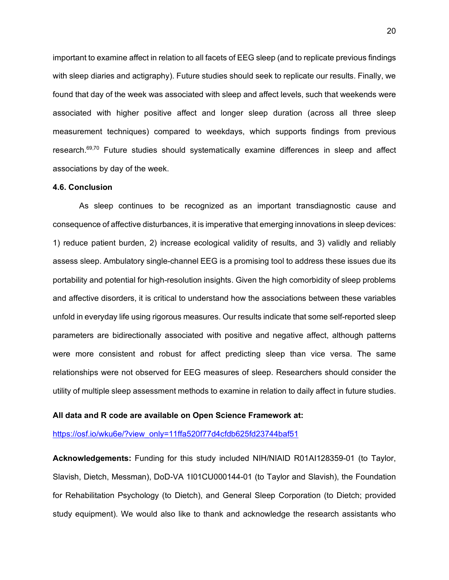important to examine affect in relation to all facets of EEG sleep (and to replicate previous findings with sleep diaries and actigraphy). Future studies should seek to replicate our results. Finally, we found that day of the week was associated with sleep and affect levels, such that weekends were associated with higher positive affect and longer sleep duration (across all three sleep measurement techniques) compared to weekdays, which supports findings from previous research.<sup>69,70</sup> Future studies should systematically examine differences in sleep and affect associations by day of the week.

#### **4.6. Conclusion**

As sleep continues to be recognized as an important transdiagnostic cause and consequence of affective disturbances, it is imperative that emerging innovations in sleep devices: 1) reduce patient burden, 2) increase ecological validity of results, and 3) validly and reliably assess sleep. Ambulatory single-channel EEG is a promising tool to address these issues due its portability and potential for high-resolution insights. Given the high comorbidity of sleep problems and affective disorders, it is critical to understand how the associations between these variables unfold in everyday life using rigorous measures. Our results indicate that some self-reported sleep parameters are bidirectionally associated with positive and negative affect, although patterns were more consistent and robust for affect predicting sleep than vice versa. The same relationships were not observed for EEG measures of sleep. Researchers should consider the utility of multiple sleep assessment methods to examine in relation to daily affect in future studies.

#### **All data and R code are available on Open Science Framework at:**

[https://osf.io/wku6e/?view\\_only=11ffa520f77d4cfdb625fd23744baf51](https://osf.io/wku6e/?view_only=11ffa520f77d4cfdb625fd23744baf51)

**Acknowledgements:** Funding for this study included NIH/NIAID R01AI128359-01 (to Taylor, Slavish, Dietch, Messman), DoD-VA 1I01CU000144-01 (to Taylor and Slavish), the Foundation for Rehabilitation Psychology (to Dietch), and General Sleep Corporation (to Dietch; provided study equipment). We would also like to thank and acknowledge the research assistants who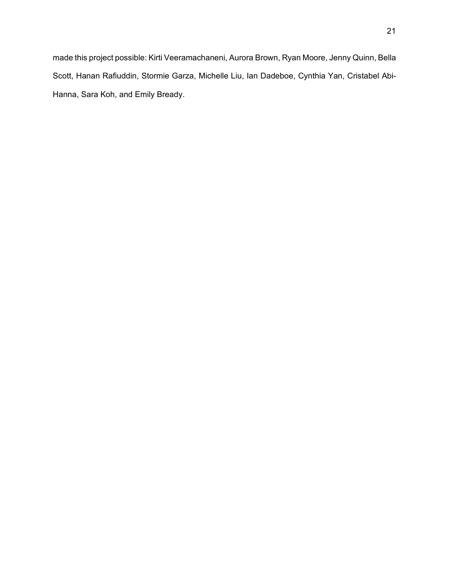made this project possible: Kirti Veeramachaneni, Aurora Brown, Ryan Moore, Jenny Quinn, Bella Scott, Hanan Rafiuddin, Stormie Garza, Michelle Liu, Ian Dadeboe, Cynthia Yan, Cristabel Abi-Hanna, Sara Koh, and Emily Bready.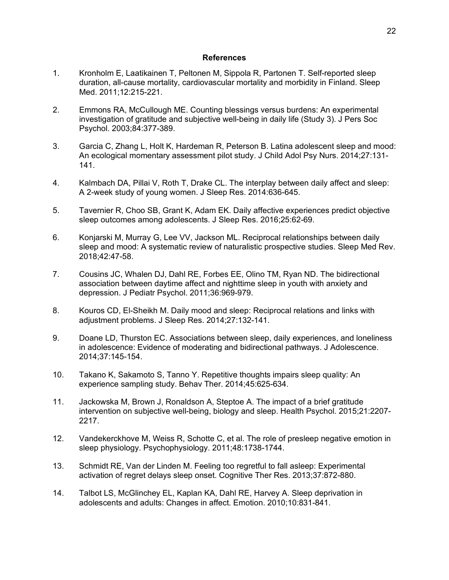#### **References**

- 1. Kronholm E, Laatikainen T, Peltonen M, Sippola R, Partonen T. Self-reported sleep duration, all-cause mortality, cardiovascular mortality and morbidity in Finland. Sleep Med. 2011;12:215-221.
- 2. Emmons RA, McCullough ME. Counting blessings versus burdens: An experimental investigation of gratitude and subjective well-being in daily life (Study 3). J Pers Soc Psychol. 2003;84:377-389.
- 3. Garcia C, Zhang L, Holt K, Hardeman R, Peterson B. Latina adolescent sleep and mood: An ecological momentary assessment pilot study. J Child Adol Psy Nurs. 2014;27:131- 141.
- 4. Kalmbach DA, Pillai V, Roth T, Drake CL. The interplay between daily affect and sleep: A 2-week study of young women. J Sleep Res. 2014:636-645.
- 5. Tavernier R, Choo SB, Grant K, Adam EK. Daily affective experiences predict objective sleep outcomes among adolescents. J Sleep Res. 2016;25:62-69.
- 6. Konjarski M, Murray G, Lee VV, Jackson ML. Reciprocal relationships between daily sleep and mood: A systematic review of naturalistic prospective studies. Sleep Med Rev. 2018;42:47-58.
- 7. Cousins JC, Whalen DJ, Dahl RE, Forbes EE, Olino TM, Ryan ND. The bidirectional association between daytime affect and nighttime sleep in youth with anxiety and depression. J Pediatr Psychol. 2011;36:969-979.
- 8. Kouros CD, El-Sheikh M. Daily mood and sleep: Reciprocal relations and links with adjustment problems. J Sleep Res. 2014;27:132-141.
- 9. Doane LD, Thurston EC. Associations between sleep, daily experiences, and loneliness in adolescence: Evidence of moderating and bidirectional pathways. J Adolescence. 2014;37:145-154.
- 10. Takano K, Sakamoto S, Tanno Y. Repetitive thoughts impairs sleep quality: An experience sampling study. Behav Ther. 2014;45:625-634.
- 11. Jackowska M, Brown J, Ronaldson A, Steptoe A. The impact of a brief gratitude intervention on subjective well-being, biology and sleep. Health Psychol. 2015;21:2207- 2217.
- 12. Vandekerckhove M, Weiss R, Schotte C, et al. The role of presleep negative emotion in sleep physiology. Psychophysiology. 2011;48:1738-1744.
- 13. Schmidt RE, Van der Linden M. Feeling too regretful to fall asleep: Experimental activation of regret delays sleep onset. Cognitive Ther Res. 2013;37:872-880.
- 14. Talbot LS, McGlinchey EL, Kaplan KA, Dahl RE, Harvey A. Sleep deprivation in adolescents and adults: Changes in affect. Emotion. 2010;10:831-841.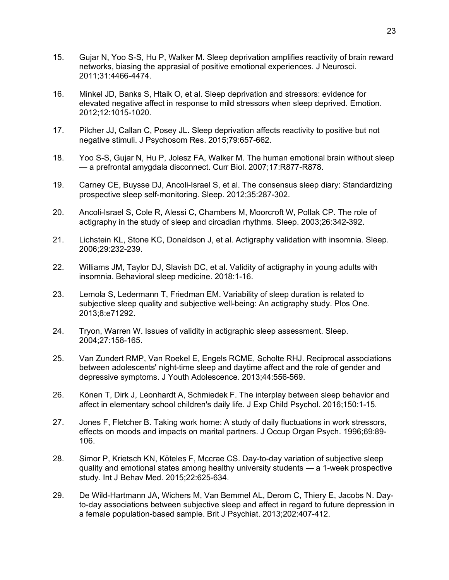- 15. Gujar N, Yoo S-S, Hu P, Walker M. Sleep deprivation amplifies reactivity of brain reward networks, biasing the apprasial of positive emotional experiences. J Neurosci. 2011;31:4466-4474.
- 16. Minkel JD, Banks S, Htaik O, et al. Sleep deprivation and stressors: evidence for elevated negative affect in response to mild stressors when sleep deprived. Emotion. 2012;12:1015-1020.
- 17. Pilcher JJ, Callan C, Posey JL. Sleep deprivation affects reactivity to positive but not negative stimuli. J Psychosom Res. 2015;79:657-662.
- 18. Yoo S-S, Gujar N, Hu P, Jolesz FA, Walker M. The human emotional brain without sleep — a prefrontal amygdala disconnect. Curr Biol. 2007;17:R877-R878.
- 19. Carney CE, Buysse DJ, Ancoli-Israel S, et al. The consensus sleep diary: Standardizing prospective sleep self-monitoring. Sleep. 2012;35:287-302.
- 20. Ancoli-Israel S, Cole R, Alessi C, Chambers M, Moorcroft W, Pollak CP. The role of actigraphy in the study of sleep and circadian rhythms. Sleep. 2003;26:342-392.
- 21. Lichstein KL, Stone KC, Donaldson J, et al. Actigraphy validation with insomnia. Sleep. 2006;29:232-239.
- 22. Williams JM, Taylor DJ, Slavish DC, et al. Validity of actigraphy in young adults with insomnia. Behavioral sleep medicine. 2018:1-16.
- 23. Lemola S, Ledermann T, Friedman EM. Variability of sleep duration is related to subjective sleep quality and subjective well-being: An actigraphy study. Plos One. 2013;8:e71292.
- 24. Tryon, Warren W. Issues of validity in actigraphic sleep assessment. Sleep. 2004;27:158-165.
- 25. Van Zundert RMP, Van Roekel E, Engels RCME, Scholte RHJ. Reciprocal associations between adolescents' night-time sleep and daytime affect and the role of gender and depressive symptoms. J Youth Adolescence. 2013;44:556-569.
- 26. Könen T, Dirk J, Leonhardt A, Schmiedek F. The interplay between sleep behavior and affect in elementary school children's daily life. J Exp Child Psychol. 2016;150:1-15.
- 27. Jones F, Fletcher B. Taking work home: A study of daily fluctuations in work stressors, effects on moods and impacts on marital partners. J Occup Organ Psych. 1996;69:89- 106.
- 28. Simor P, Krietsch KN, Köteles F, Mccrae CS. Day-to-day variation of subjective sleep quality and emotional states among healthy university students — a 1-week prospective study. Int J Behav Med. 2015;22:625-634.
- 29. De Wild-Hartmann JA, Wichers M, Van Bemmel AL, Derom C, Thiery E, Jacobs N. Dayto-day associations between subjective sleep and affect in regard to future depression in a female population-based sample. Brit J Psychiat. 2013;202:407-412.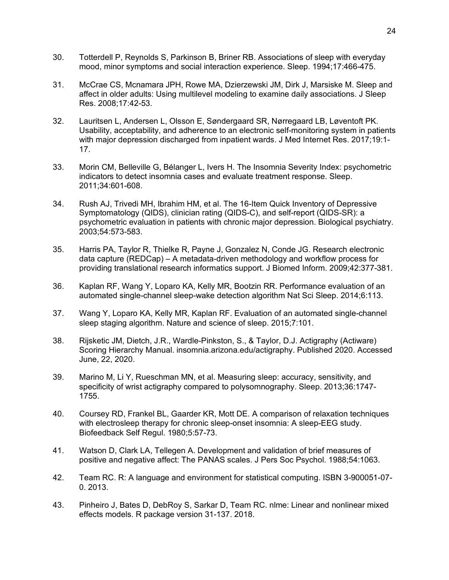- 30. Totterdell P, Reynolds S, Parkinson B, Briner RB. Associations of sleep with everyday mood, minor symptoms and social interaction experience. Sleep. 1994;17:466-475.
- 31. McCrae CS, Mcnamara JPH, Rowe MA, Dzierzewski JM, Dirk J, Marsiske M. Sleep and affect in older adults: Using multilevel modeling to examine daily associations. J Sleep Res. 2008;17:42-53.
- 32. Lauritsen L, Andersen L, Olsson E, Søndergaard SR, Nørregaard LB, Løventoft PK. Usability, acceptability, and adherence to an electronic self-monitoring system in patients with major depression discharged from inpatient wards. J Med Internet Res. 2017;19:1- 17.
- 33. Morin CM, Belleville G, Bélanger L, Ivers H. The Insomnia Severity Index: psychometric indicators to detect insomnia cases and evaluate treatment response. Sleep. 2011;34:601-608.
- 34. Rush AJ, Trivedi MH, Ibrahim HM, et al. The 16-Item Quick Inventory of Depressive Symptomatology (QIDS), clinician rating (QIDS-C), and self-report (QIDS-SR): a psychometric evaluation in patients with chronic major depression. Biological psychiatry. 2003;54:573-583.
- 35. Harris PA, Taylor R, Thielke R, Payne J, Gonzalez N, Conde JG. Research electronic data capture (REDCap) – A metadata-driven methodology and workflow process for providing translational research informatics support. J Biomed Inform. 2009;42:377-381.
- 36. Kaplan RF, Wang Y, Loparo KA, Kelly MR, Bootzin RR. Performance evaluation of an automated single-channel sleep-wake detection algorithm Nat Sci Sleep. 2014;6:113.
- 37. Wang Y, Loparo KA, Kelly MR, Kaplan RF. Evaluation of an automated single-channel sleep staging algorithm. Nature and science of sleep. 2015;7:101.
- 38. Rijsketic JM, Dietch, J.R., Wardle-Pinkston, S., & Taylor, D.J. Actigraphy (Actiware) Scoring Hierarchy Manual. insomnia.arizona.edu/actigraphy. Published 2020. Accessed June, 22, 2020.
- 39. Marino M, Li Y, Rueschman MN, et al. Measuring sleep: accuracy, sensitivity, and specificity of wrist actigraphy compared to polysomnography. Sleep. 2013;36:1747- 1755.
- 40. Coursey RD, Frankel BL, Gaarder KR, Mott DE. A comparison of relaxation techniques with electrosleep therapy for chronic sleep-onset insomnia: A sleep-EEG study. Biofeedback Self Regul. 1980;5:57-73.
- 41. Watson D, Clark LA, Tellegen A. Development and validation of brief measures of positive and negative affect: The PANAS scales. J Pers Soc Psychol. 1988;54:1063.
- 42. Team RC. R: A language and environment for statistical computing. ISBN 3-900051-07- 0. 2013.
- 43. Pinheiro J, Bates D, DebRoy S, Sarkar D, Team RC. nlme: Linear and nonlinear mixed effects models. R package version 31-137. 2018.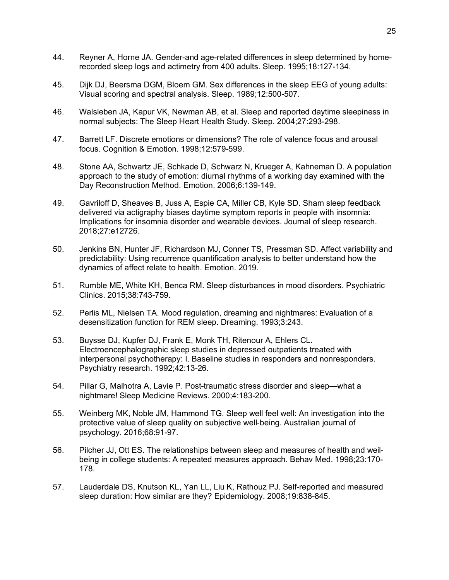- 44. Reyner A, Horne JA. Gender-and age-related differences in sleep determined by homerecorded sleep logs and actimetry from 400 adults. Sleep. 1995;18:127-134.
- 45. Dijk DJ, Beersma DGM, Bloem GM. Sex differences in the sleep EEG of young adults: Visual scoring and spectral analysis. Sleep. 1989;12:500-507.
- 46. Walsleben JA, Kapur VK, Newman AB, et al. Sleep and reported daytime sleepiness in normal subjects: The Sleep Heart Health Study. Sleep. 2004;27:293-298.
- 47. Barrett LF. Discrete emotions or dimensions? The role of valence focus and arousal focus. Cognition & Emotion. 1998;12:579-599.
- 48. Stone AA, Schwartz JE, Schkade D, Schwarz N, Krueger A, Kahneman D. A population approach to the study of emotion: diurnal rhythms of a working day examined with the Day Reconstruction Method. Emotion. 2006;6:139-149.
- 49. Gavriloff D, Sheaves B, Juss A, Espie CA, Miller CB, Kyle SD. Sham sleep feedback delivered via actigraphy biases daytime symptom reports in people with insomnia: Implications for insomnia disorder and wearable devices. Journal of sleep research. 2018;27:e12726.
- 50. Jenkins BN, Hunter JF, Richardson MJ, Conner TS, Pressman SD. Affect variability and predictability: Using recurrence quantification analysis to better understand how the dynamics of affect relate to health. Emotion. 2019.
- 51. Rumble ME, White KH, Benca RM. Sleep disturbances in mood disorders. Psychiatric Clinics. 2015;38:743-759.
- 52. Perlis ML, Nielsen TA. Mood regulation, dreaming and nightmares: Evaluation of a desensitization function for REM sleep. Dreaming. 1993;3:243.
- 53. Buysse DJ, Kupfer DJ, Frank E, Monk TH, Ritenour A, Ehlers CL. Electroencephalographic sleep studies in depressed outpatients treated with interpersonal psychotherapy: I. Baseline studies in responders and nonresponders. Psychiatry research. 1992;42:13-26.
- 54. Pillar G, Malhotra A, Lavie P. Post-traumatic stress disorder and sleep—what a nightmare! Sleep Medicine Reviews. 2000;4:183-200.
- 55. Weinberg MK, Noble JM, Hammond TG. Sleep well feel well: An investigation into the protective value of sleep quality on subjective well‐being. Australian journal of psychology. 2016;68:91-97.
- 56. Pilcher JJ, Ott ES. The relationships between sleep and measures of health and weilbeing in college students: A repeated measures approach. Behav Med. 1998;23:170- 178.
- 57. Lauderdale DS, Knutson KL, Yan LL, Liu K, Rathouz PJ. Self-reported and measured sleep duration: How similar are they? Epidemiology. 2008;19:838-845.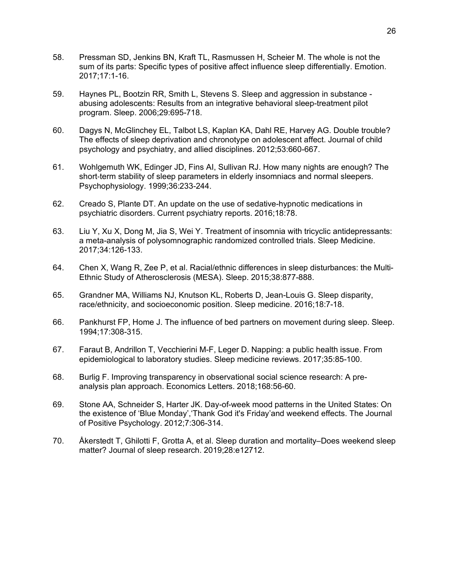- 58. Pressman SD, Jenkins BN, Kraft TL, Rasmussen H, Scheier M. The whole is not the sum of its parts: Specific types of positive affect influence sleep differentially. Emotion. 2017;17:1-16.
- 59. Haynes PL, Bootzin RR, Smith L, Stevens S. Sleep and aggression in substance abusing adolescents: Results from an integrative behavioral sleep-treatment pilot program. Sleep. 2006;29:695-718.
- 60. Dagys N, McGlinchey EL, Talbot LS, Kaplan KA, Dahl RE, Harvey AG. Double trouble? The effects of sleep deprivation and chronotype on adolescent affect. Journal of child psychology and psychiatry, and allied disciplines. 2012;53:660-667.
- 61. Wohlgemuth WK, Edinger JD, Fins AI, Sullivan RJ. How many nights are enough? The short-term stability of sleep parameters in elderly insomniacs and normal sleepers. Psychophysiology. 1999;36:233-244.
- 62. Creado S, Plante DT. An update on the use of sedative-hypnotic medications in psychiatric disorders. Current psychiatry reports. 2016;18:78.
- 63. Liu Y, Xu X, Dong M, Jia S, Wei Y. Treatment of insomnia with tricyclic antidepressants: a meta-analysis of polysomnographic randomized controlled trials. Sleep Medicine. 2017;34:126-133.
- 64. Chen X, Wang R, Zee P, et al. Racial/ethnic differences in sleep disturbances: the Multi-Ethnic Study of Atherosclerosis (MESA). Sleep. 2015;38:877-888.
- 65. Grandner MA, Williams NJ, Knutson KL, Roberts D, Jean-Louis G. Sleep disparity, race/ethnicity, and socioeconomic position. Sleep medicine. 2016;18:7-18.
- 66. Pankhurst FP, Home J. The influence of bed partners on movement during sleep. Sleep. 1994;17:308-315.
- 67. Faraut B, Andrillon T, Vecchierini M-F, Leger D. Napping: a public health issue. From epidemiological to laboratory studies. Sleep medicine reviews. 2017;35:85-100.
- 68. Burlig F. Improving transparency in observational social science research: A preanalysis plan approach. Economics Letters. 2018;168:56-60.
- 69. Stone AA, Schneider S, Harter JK. Day-of-week mood patterns in the United States: On the existence of 'Blue Monday','Thank God it's Friday'and weekend effects. The Journal of Positive Psychology. 2012;7:306-314.
- 70. Åkerstedt T, Ghilotti F, Grotta A, et al. Sleep duration and mortality–Does weekend sleep matter? Journal of sleep research. 2019;28:e12712.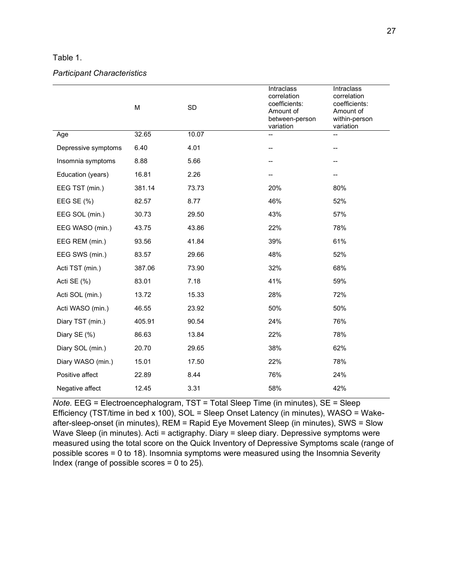#### Table 1.

#### *Participant Characteristics*

|                     | M      | SD    | <b>Intraclass</b><br>correlation<br>coefficients:<br>Amount of<br>between-person<br>variation | Intraclass<br>correlation<br>coefficients:<br>Amount of<br>within-person<br>variation |  |  |  |
|---------------------|--------|-------|-----------------------------------------------------------------------------------------------|---------------------------------------------------------------------------------------|--|--|--|
| Age                 | 32.65  | 10.07 |                                                                                               | $\overline{a}$                                                                        |  |  |  |
| Depressive symptoms | 6.40   | 4.01  |                                                                                               | --                                                                                    |  |  |  |
| Insomnia symptoms   | 8.88   | 5.66  |                                                                                               |                                                                                       |  |  |  |
| Education (years)   | 16.81  | 2.26  |                                                                                               |                                                                                       |  |  |  |
| EEG TST (min.)      | 381.14 | 73.73 | 20%                                                                                           | 80%                                                                                   |  |  |  |
| EEG SE (%)          | 82.57  | 8.77  | 46%                                                                                           | 52%                                                                                   |  |  |  |
| EEG SOL (min.)      | 30.73  | 29.50 | 43%                                                                                           | 57%                                                                                   |  |  |  |
| EEG WASO (min.)     | 43.75  | 43.86 | 22%                                                                                           | 78%                                                                                   |  |  |  |
| EEG REM (min.)      | 93.56  | 41.84 | 39%                                                                                           | 61%                                                                                   |  |  |  |
| EEG SWS (min.)      | 83.57  | 29.66 | 48%                                                                                           | 52%                                                                                   |  |  |  |
| Acti TST (min.)     | 387.06 | 73.90 | 32%                                                                                           | 68%                                                                                   |  |  |  |
| Acti SE (%)         | 83.01  | 7.18  | 41%                                                                                           | 59%                                                                                   |  |  |  |
| Acti SOL (min.)     | 13.72  | 15.33 | 28%                                                                                           | 72%                                                                                   |  |  |  |
| Acti WASO (min.)    | 46.55  | 23.92 | 50%                                                                                           | 50%                                                                                   |  |  |  |
| Diary TST (min.)    | 405.91 | 90.54 | 24%                                                                                           | 76%                                                                                   |  |  |  |
| Diary SE (%)        | 86.63  | 13.84 | 22%                                                                                           | 78%                                                                                   |  |  |  |
| Diary SOL (min.)    | 20.70  | 29.65 | 38%                                                                                           | 62%                                                                                   |  |  |  |
| Diary WASO (min.)   | 15.01  | 17.50 | 22%                                                                                           | 78%                                                                                   |  |  |  |
| Positive affect     | 22.89  | 8.44  | 76%                                                                                           | 24%                                                                                   |  |  |  |
| Negative affect     | 12.45  | 3.31  | 58%                                                                                           | 42%                                                                                   |  |  |  |

*Note.* EEG = Electroencephalogram, TST = Total Sleep Time (in minutes), SE = Sleep Efficiency (TST/time in bed x 100), SOL = Sleep Onset Latency (in minutes), WASO = Wakeafter-sleep-onset (in minutes), REM = Rapid Eye Movement Sleep (in minutes), SWS = Slow Wave Sleep (in minutes). Acti = actigraphy. Diary = sleep diary. Depressive symptoms were measured using the total score on the Quick Inventory of Depressive Symptoms scale (range of possible scores = 0 to 18). Insomnia symptoms were measured using the Insomnia Severity Index (range of possible scores = 0 to 25).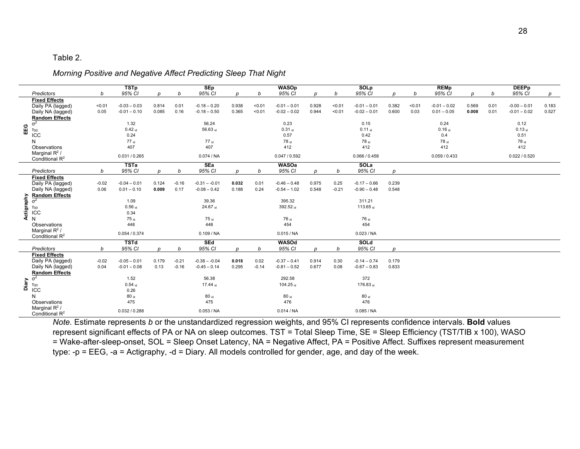#### Table 2.

#### *Morning Positive and Negative Affect Predicting Sleep That Night*

|            |                                       |         | <b>TSTp</b>      |       |         | <b>SEp</b>       |       |         | <b>WASOp</b>     |       |         | <b>SOLp</b>      |       |        | <b>REMp</b>    |       |      | <b>DEEPp</b>   |       |
|------------|---------------------------------------|---------|------------------|-------|---------|------------------|-------|---------|------------------|-------|---------|------------------|-------|--------|----------------|-------|------|----------------|-------|
|            | <b>Predictors</b>                     | b       | 95% CI           | D     | b       | 95% CI           | D     | b       | 95% CI           | D     | b       | 95% CI           | n     | b      | 95% CI         | D     | b    | 95% CI         | p     |
|            | <b>Fixed Effects</b>                  |         |                  |       |         |                  |       |         |                  |       |         |                  |       |        |                |       |      |                |       |
|            | Daily PA (lagged)                     | < 0.01  | $-0.03 - 0.03$   | 0.814 | 0.01    | $-0.18 - 0.20$   | 0.938 | < 0.01  | $-0.01 - 0.01$   | 0.928 | < 0.01  | $-0.01 - 0.01$   | 0.382 | < 0.01 | $-0.01 - 0.02$ | 0.569 | 0.01 | $-0.00 - 0.01$ | 0.183 |
|            | Daily NA (lagged)                     | 0.05    | $-0.01 - 0.10$   | 0.085 | 0.16    | $-0.18 - 0.50$   | 0.365 | < 0.01  | $-0.02 - 0.02$   | 0.944 | < 0.01  | $-0.02 - 0.01$   | 0.600 | 0.03   | $0.01 - 0.05$  | 0.008 | 0.01 | $-0.01 - 0.02$ | 0.527 |
|            | <b>Random Effects</b>                 |         |                  |       |         |                  |       |         |                  |       |         |                  |       |        |                |       |      |                |       |
|            | $\overline{\sigma^2}$                 |         | 1.32             |       |         | 56.24            |       |         | 0.23             |       |         | 0.15             |       |        | 0.24           |       |      | 0.12           |       |
| EEG        | T <sub>00</sub>                       |         | $0.42$ id        |       |         | 56.63 id         |       |         | $0.31$ id        |       |         | $0.11$ id        |       |        | $0.16$ id      |       |      | $0.13$ id      |       |
|            | ICC                                   |         | 0.24             |       |         |                  |       |         | 0.57             |       |         | 0.42             |       |        | 0.4            |       |      | 0.51           |       |
|            | N                                     |         | $77$ id          |       |         | 77 id            |       |         | 78 id            |       |         | 78 id            |       |        | 78 id          |       |      | 78 id          |       |
|            | Observations                          |         | 407              |       |         | 407              |       |         | 412              |       |         | 412              |       |        | 412            |       |      | 412            |       |
|            | Marginal $R^2$ /<br>Conditional $R^2$ |         | 0.031 / 0.265    |       |         | 0.074 / NA       |       |         | 0.047 / 0.592    |       |         | 0.066 / 0.458    |       |        | 0.059 / 0.433  |       |      | 0.022 / 0.520  |       |
|            |                                       |         | <b>TSTa</b>      |       |         | <b>SEa</b>       |       |         | <b>WASOa</b>     |       |         | SOLa             |       |        |                |       |      |                |       |
|            | Predictors                            | b       | 95% CI           | D     | b       | 95% CI           | D     | b       | 95% CI           | D     | b       | 95% CI           | n     |        |                |       |      |                |       |
|            | <b>Fixed Effects</b>                  |         |                  |       |         |                  |       |         |                  |       |         |                  |       |        |                |       |      |                |       |
|            | Daily PA (lagged)                     | $-0.02$ | $-0.04 - 0.01$   | 0.124 | $-0.16$ | $-0.31 - -0.01$  | 0.032 | 0.01    | $-0.46 - 0.48$   | 0.975 | 0.25    | $-0.17 - 0.66$   | 0.239 |        |                |       |      |                |       |
|            | Daily NA (lagged)                     | 0.06    | $0.01 - 0.10$    | 0.009 | 0.17    | $-0.08 - 0.42$   | 0.188 | 0.24    | $-0.54 - 1.02$   | 0.548 | $-0.21$ | $-0.90 - 0.48$   | 0.548 |        |                |       |      |                |       |
|            | <b>Random Effects</b>                 |         |                  |       |         |                  |       |         |                  |       |         |                  |       |        |                |       |      |                |       |
|            | $\sigma^2$                            |         | 1.09             |       |         | 39.36            |       |         | 395.32           |       |         | 311.21           |       |        |                |       |      |                |       |
|            | $T_{00}$                              |         | $0.56$ id        |       |         | 24.67 id         |       |         | 392.52 id        |       |         | 113.65 id        |       |        |                |       |      |                |       |
| Actigraphy | ICC                                   |         | 0.34             |       |         |                  |       |         |                  |       |         |                  |       |        |                |       |      |                |       |
|            | $\mathsf{N}$                          |         | 75 id            |       |         | 75 id            |       |         | 76 id            |       |         | 76 id            |       |        |                |       |      |                |       |
|            | Observations                          |         | 448              |       |         | 448              |       |         | 454              |       |         | 454              |       |        |                |       |      |                |       |
|            | Marginal $R^2$ /                      |         |                  |       |         |                  |       |         |                  |       |         |                  |       |        |                |       |      |                |       |
|            | Conditional R <sup>2</sup>            |         | 0.054 / 0.374    |       |         | 0.109 / NA       |       |         | 0.015 / NA       |       |         | 0.023 / NA       |       |        |                |       |      |                |       |
|            |                                       |         | <b>TSTd</b>      |       |         | <b>SEd</b>       |       |         | WASOd            |       |         | <b>SOLd</b>      |       |        |                |       |      |                |       |
|            | Predictors                            | b       | 95% CI           | D     | b       | 95% CI           | p     | b       | 95% CI           | D     | b       | 95% CI           | D     |        |                |       |      |                |       |
|            | <b>Fixed Effects</b>                  |         |                  |       |         |                  |       |         |                  |       |         |                  |       |        |                |       |      |                |       |
|            | Daily PA (lagged)                     | $-0.02$ | $-0.05 - 0.01$   | 0.179 | $-0.21$ | $-0.38 - -0.04$  | 0.018 | 0.02    | $-0.37 - 0.41$   | 0.914 | 0.30    | $-0.14 - 0.74$   | 0.179 |        |                |       |      |                |       |
|            | Daily NA (lagged)                     | 0.04    | $-0.01 - 0.08$   | 0.13  | $-0.16$ | $-0.45 - 0.14$   | 0.295 | $-0.14$ | $-0.81 - 0.52$   | 0.677 | 0.08    | $-0.67 - 0.83$   | 0.833 |        |                |       |      |                |       |
|            | <b>Random Effects</b>                 |         |                  |       |         |                  |       |         |                  |       |         |                  |       |        |                |       |      |                |       |
|            | $\overline{\sigma^2}$                 |         | 1.52             |       |         | 56.38            |       |         | 292.58           |       |         | 372              |       |        |                |       |      |                |       |
| Diary      |                                       |         | $0.54$ id        |       |         | 17.44 id         |       |         | 104.25 id        |       |         | 176.83 id        |       |        |                |       |      |                |       |
|            | $T_{00}$ ICC                          |         | 0.26             |       |         |                  |       |         |                  |       |         |                  |       |        |                |       |      |                |       |
|            | N                                     |         | 80 <sub>id</sub> |       |         | 80 <sub>id</sub> |       |         | 80 <sub>id</sub> |       |         | 80 <sub>id</sub> |       |        |                |       |      |                |       |
|            | Observations                          |         | 475              |       |         | 475              |       |         | 476              |       |         | 476              |       |        |                |       |      |                |       |
|            | Marginal $R^2$ /                      |         |                  |       |         |                  |       |         |                  |       |         |                  |       |        |                |       |      |                |       |
|            | Conditional R <sup>2</sup>            |         | 0.032 / 0.288    |       |         | 0.053 / NA       |       |         | 0.014 / NA       |       |         | 0.085 / NA       |       |        |                |       |      |                |       |

*Note.* Estimate represents *b* or the unstandardized regression weights, and 95% CI represents confidence intervals. **Bold** values represent significant effects of PA or NA on sleep outcomes. TST = Total Sleep Time, SE = Sleep Efficiency (TST/TIB x 100), WASO = Wake-after-sleep-onset, SOL = Sleep Onset Latency, NA = Negative Affect, PA = Positive Affect. Suffixes represent measurement type: -p = EEG, -a = Actigraphy, -d = Diary. All models controlled for gender, age, and day of the week.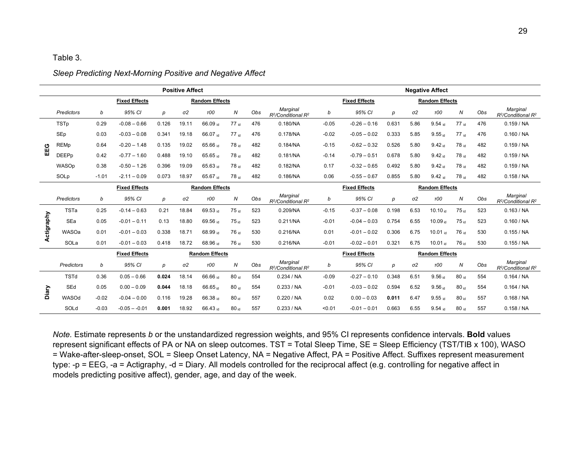#### Table 3.

#### **Positive Affect Negative Affect Negative Affect Negative Affect Fixed Effects Random Effects Fixed Effects Random Effects** *Predictors <sup>b</sup> 95% CI <sup>p</sup> σ2 τ00 <sup>N</sup> Obs Marginal R2/Conditional R2 <sup>b</sup> 95% CI <sup>p</sup> σ2 τ00 <sup>N</sup> Obs Marginal R2/Conditional R2* TSTp 0.29 -0.08 – 0.66 0.126 19.11 66.09 <sub>id</sub> 476 0.180/NA -0.05 -0.26 – 0.16 0.631 5.86 9.54 <sub>id</sub> 77 <sub>id</sub> 476 0.159 / N SEp 0.03 -0.03 0.341 19.18 66.07 $_{\rm id}$  77 id 476 0.178/NA -0.02 -0.05 0.02 0.333 5.85 9.55 $_{\rm id}$  77 id 476 0.160 / NA **EEG** REMp 0.64 -0.20 – 1.48 0.135 19.02 65.66 id 78 id 482 0.184/NA -0.15 -0.62 – 0.32 0.526 5.80 9.42 id 78 id 482 0.159 / NA 0EEPp 0.42 -0.77 – 1.60 0.488 19.10 65.65 <sub>id</sub> 482 0.181/NA -0.14 -0.79 – 0.51 0.678 5.80 9.42 <sub>id</sub> 482 0.159 / NA WASOp 0.38 -0.50 – 1.26 0.396 19.09 65.63 id 78 id 482 0.182/NA 0.17 -0.32 – 0.65 0.492 5.80 9.42 id 78 id 482 0.159 / NA SOLp -1.01 -2.11-0.09 0.073 18.97 65.67 <sub>id</sub> 78 <sub>id</sub> 482 0.186/NA 0.06 -0.55-0.67 0.855 5.80 9.42 <sub>id</sub> 78 <sub>id</sub> 482 0.158 / NA **Fixed Effects Random Effects Fixed Effects Random Effects** *Predictors <sup>b</sup> 95% CI <sup>p</sup> σ2 τ00 <sup>N</sup> Obs Marginal R2/Conditional R2 <sup>b</sup> 95% CI <sup>p</sup> σ2 τ00 <sup>N</sup> Obs Marginal R2/Conditional R2* TSTa 0.25 -0.14 – 0.63 0.21 18.84 69.53 id 75 id 523 0.209/NA -0.15 -0.37 – 0.08 0.198 6.53 10.10 id 75 id 523 0.163 / NA Actigraphy **Actigraphy** SEa 0.05 -0.01-0.11 0.13 18.80 69.56 <sub>id</sub> 75 <sub>id</sub> 523 0.211/NA -0.01 -0.04-0.03 0.754 6.55 10.09 <sub>id</sub> 75 <sub>id</sub> 523 0.160 / NA WASOa 0.01 -0.01 $-$  0.03 0.338 18.71 68.99 id 76 id 530 0.216/NA 0.01 -0.01 -0.02 0.306 6.75 10.01 id 76 id 530 0.155 / NA SOLa 0.01 -0.01 -0.03 0.418 18.72 68.96<sub> id</sub> 76 <sub>id</sub> 530 0.216/NA -0.01 -0.02 – 0.01 0.321 6.75 10.01 <sub>id</sub> 76 id 530 0.155 / NA **Fixed Effects Random Effects Fixed Effects Random Effects** *Predictors <sup>b</sup> 95% CI <sup>p</sup> σ2 τ00 <sup>N</sup> Obs Marginal R2/Conditional R2 <sup>b</sup> 95% CI <sup>p</sup> σ2 τ00 <sup>N</sup> Obs Marginal R2/Conditional R2* TSTd 0.36 0.05 – 0.66 **0.024** 18.14 66.66 id 80 id 554 0.234 / NA -0.09 -0.27 – 0.10 0.348 6.51 9.56 id 80 id 554 0.164 / NA **Diary** SEd 0.05 0.00 – 0.09 **0.044** 18.18 66.65 id 80 id 554 0.233 / NA -0.01 -0.03 – 0.02 0.594 6.52 9.56 id 80 id 554 0.164 / NA WASOd -0.02 -0.04 – 0.00 0.116 19.28 66.38 id 80 id 557 0.220 / NA 0.02 0.00 – 0.03 **0.011** 6.47 9.55 id 80 id 557 0.168 / NA SOLd -0.03 -0.05 – -0.01 **0.001** 18.92 66.43 id 80 id 557 0.233 / NA <0.01 -0.01 – 0.01 0.663 6.55 9.54 id 80 id 557 0.158 / NA

#### *Sleep Predicting Next-Morning Positive and Negative Affect*

*Note.* Estimate represents *b* or the unstandardized regression weights, and 95% CI represents confidence intervals. **Bold** values represent significant effects of PA or NA on sleep outcomes. TST = Total Sleep Time, SE = Sleep Efficiency (TST/TIB x 100), WASO = Wake-after-sleep-onset, SOL = Sleep Onset Latency, NA = Negative Affect, PA = Positive Affect. Suffixes represent measurement type: -p = EEG, -a = Actigraphy, -d = Diary. All models controlled for the reciprocal affect (e.g. controlling for negative affect in models predicting positive affect), gender, age, and day of the week.